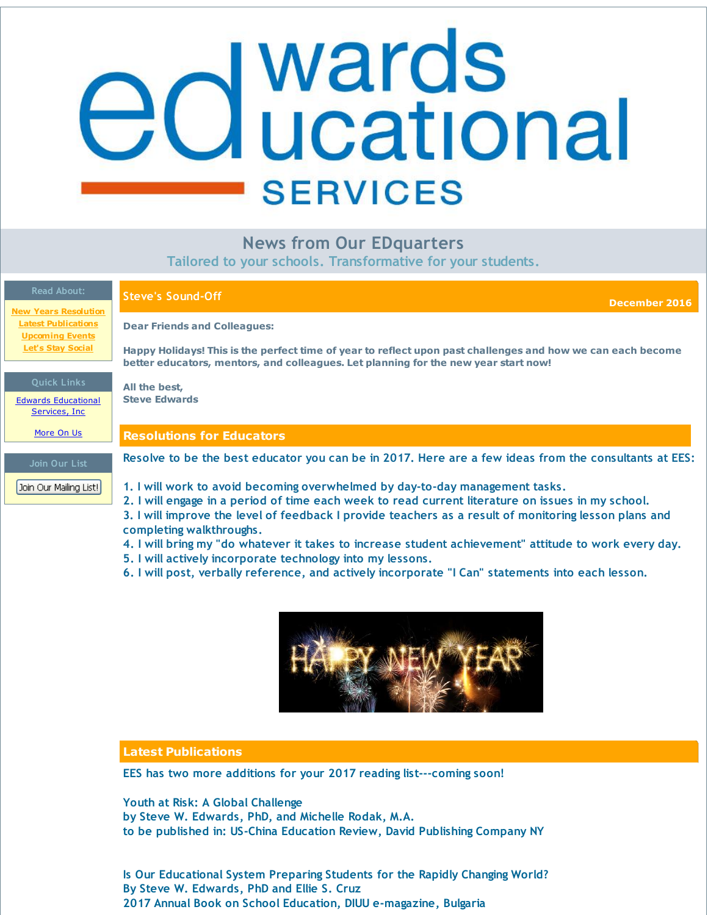# <span id="page-0-0"></span>**d** wards<br>**d** ucational **SERVICES**

# **News from Our EDquarters**

**Tailored to your schools. Transformative for your students.**

| <b>Read About:</b><br><b>New Years Resolution</b>    | <b>Steve's Sound-Off</b><br>December 2016                                                                                                                                                                                      |
|------------------------------------------------------|--------------------------------------------------------------------------------------------------------------------------------------------------------------------------------------------------------------------------------|
| <b>Latest Publications</b><br><b>Upcoming Events</b> | <b>Dear Friends and Colleagues:</b>                                                                                                                                                                                            |
| <b>Let's Stay Social</b>                             | Happy Holidays! This is the perfect time of year to reflect upon past challenges and how we can each become<br>better educators, mentors, and colleagues. Let planning for the new year start now!                             |
| <b>Quick Links</b>                                   | All the best,                                                                                                                                                                                                                  |
| <b>Edwards Educational</b><br>Services, Inc.         | <b>Steve Edwards</b>                                                                                                                                                                                                           |
| More On Us                                           | <b>Resolutions for Educators</b>                                                                                                                                                                                               |
| Join Our List                                        | Resolve to be the best educator you can be in 2017. Here are a few ideas from the consultants at EES:                                                                                                                          |
| Join Our Mailing List!                               | 1. I will work to avoid becoming overwhelmed by day-to-day management tasks.<br>2. I will engage in a period of time each week to read current literature on issues in my school.                                              |
|                                                      | 3. I will improve the level of feedback I provide teachers as a result of monitoring lesson plans and<br>completing walkthroughs.                                                                                              |
|                                                      | 4. I will bring my "do whatever it takes to increase student achievement" attitude to work every day.<br>5. I will actively incorporate technology into my lessons.                                                            |
|                                                      | in the contract of the contract of the contract of the contract of the contract of the contract of the contract of the contract of the contract of the contract of the contract of the contract of the contract of the contrac |

**6. I will post, verbally reference, and actively incorporate "I Can" statements into each lesson.**



# **Latest Publications**

**EES has two more additions for your 2017 reading list---coming soon!**

**Youth at Risk: A Global Challenge by Steve W. Edwards, PhD, and Michelle Rodak, M.A. to be published in: US-China Education Review, David Publishing Company NY**

**Is Our Educational System Preparing Students for the Rapidly Changing World? By Steve W. Edwards, PhD and Ellie S. Cruz 2017 Annual Book on School Education, DIUU e-magazine, Bulgaria**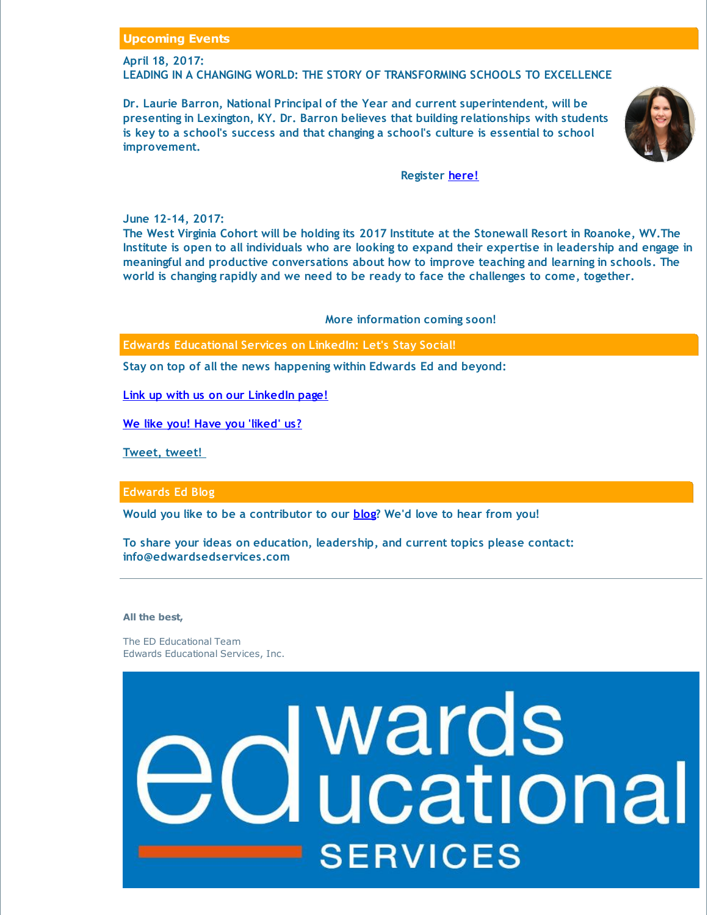## **Upcoming Events**

### **April 18, 2017:**

**LEADING IN A CHANGING WORLD: THE STORY OF TRANSFORMING SCHOOLS TO EXCELLENCE**

**Dr. Laurie Barron, National Principal of the Year and current superintendent, will be presenting in Lexington, KY. Dr. Barron believes that building relationships with students is key to a school's success and that changing a school's culture is essential to school improvement.**



### **Register [here!](http://r20.rs6.net/tn.jsp?f=001Si7Ycatz60aj5FUDLdW5HOmKhUqec3N2HPJ7JUDE_NUNbOvpvY-oFiq-Yoz7o604bLB2FSxYZ4a0FH7K7SZ2t86pU5aVJE5vYkbzX-1DNBPLHmyGoGQxlUSBK_wWXK8CHclmol_qHAhk2nPL2OZawT4-jQROMPG1IFKmQfJfXzWglQ6dp9R5V9xzb8Xc6k-xxqEeNcEOQhI5pXkfjeSfGpov1pXHLI_hIE7c233X43s=&c=&ch=)**

**June 12-14, 2017:**

**The West Virginia Cohort will be holding its 2017 Institute at the Stonewall Resort in Roanoke, WV.The** Institute is open to all individuals who are looking to expand their expertise in leadership and engage in **meaningful and productive conversations about how to improve teaching and learning in schools. The world is changing rapidly and we need to be ready to face the challenges to come, together.**

### **More information coming soon!**

**Edwards Educational Services on LinkedIn: Let's Stay Social!**

**Stay on top of all the news happening within Edwards Ed and beyond:**

**Link up with us on our [LinkedIn](http://r20.rs6.net/tn.jsp?f=001Si7Ycatz60aj5FUDLdW5HOmKhUqec3N2HPJ7JUDE_NUNbOvpvY-oFnQhzFmKOa1KzLoKjBVAEU8qmp3918ehfYC3ZVeijrYCLgPUoR6a0BG8xuogQ47DS8JX0YqSrsRxow_uNZLsXJbF-Em5zyTmuZM2y_Ogxnpe1M831IEHhbp4SFqk_mdNyHwpNLlW5P4-8ga1LsWdHIsC21LnSmgA_aP4i5G4SM14Zj1uFN_rf7o=&c=&ch=) page!**

**We like you! Have you ['liked'](http://r20.rs6.net/tn.jsp?f=001Si7Ycatz60aj5FUDLdW5HOmKhUqec3N2HPJ7JUDE_NUNbOvpvY-oFm-SmQSaHMklel3kJuAldNBI7R1MGL53AKexQAIgdPAIQ_7IlfBGRcdnxdiRPz0kVbZgz3BTBhRyoquouL9BWInZTopfJAZsr_i-x3QFRJYy3IpccPIRHGiRHGBPEj9B6DENFq1pd-sjpwGvnIRqpnA=&c=&ch=) us?**

**[Tweet,](http://r20.rs6.net/tn.jsp?f=001Si7Ycatz60aj5FUDLdW5HOmKhUqec3N2HPJ7JUDE_NUNbOvpvY-oFnQhzFmKOa1KTH_tx-uqQ_hoTJgUrkJORMQijoJfOshZuHN8RM85RteHcbvR-oTVOW7myrCsNPcHFSX9q3GDdszVx1PpFfLDm1K6s1ss4opQCleuRWmnt_zI_n19DcziUbQ8TzpHo2Oz&c=&ch=) tweet!**

**Edwards Ed Blog**

**Would you like to be a contributor to our [blog](http://r20.rs6.net/tn.jsp?f=001Si7Ycatz60aj5FUDLdW5HOmKhUqec3N2HPJ7JUDE_NUNbOvpvY-oFjDj8M3uefEyVRQy60RLBiuPK9NK_ONfluAL4tabaa4wAEf0VFugGNHclbce4wLMMs_Kijd00_7yZIYQnSCzzTKoKRyBroJLQnyPPfrZ-kCO_p54mdQ0Z3nwX8PW1qsP9It9mObJPW0b&c=&ch=)? We'd love to hear from you!**

**To share your ideas on education, leadership, and current topics please contact: info@edwardsedservices.com**

### **All the best,**

The ED Educational Team Edwards Educational Services, Inc.